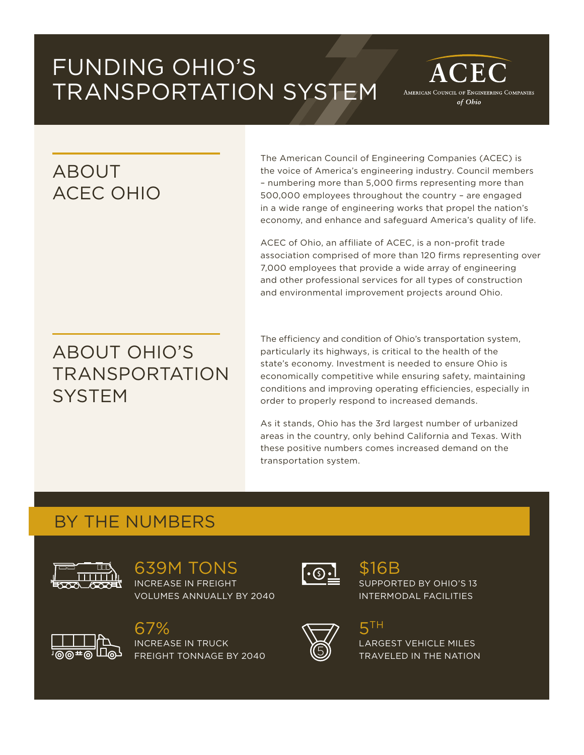# FUNDING OHIO'S TRANSPORTATION SYSTEM

## ABOUT ACEC OHIO

The American Council of Engineering Companies (ACEC) is the voice of America's engineering industry. Council members – numbering more than 5,000 firms representing more than 500,000 employees throughout the country – are engaged in a wide range of engineering works that propel the nation's economy, and enhance and safeguard America's quality of life.

 $CEC$ 

AMERICAN COUNCIL OF ENGINEERING COMPANIES of Ohio

ACEC of Ohio, an affiliate of ACEC, is a non-profit trade association comprised of more than 120 firms representing over 7,000 employees that provide a wide array of engineering and other professional services for all types of construction and environmental improvement projects around Ohio.

## ABOUT OHIO'S TRANSPORTATION **SYSTEM**

The efficiency and condition of Ohio's transportation system, particularly its highways, is critical to the health of the state's economy. Investment is needed to ensure Ohio is economically competitive while ensuring safety, maintaining conditions and improving operating efficiencies, especially in order to properly respond to increased demands.

As it stands, Ohio has the 3rd largest number of urbanized areas in the country, only behind California and Texas. With these positive numbers comes increased demand on the transportation system.

#### BY THE NUMBERS



639M TONS INCREASE IN FREIGHT VOLUMES ANNUALLY BY 2040



67% INCREASE IN TRUCK FREIGHT TONNAGE BY 2040



## \$16B

SUPPORTED BY OHIO'S 13 INTERMODAL FACILITIES



#### 5TH

LARGEST VEHICLE MILES TRAVELED IN THE NATION